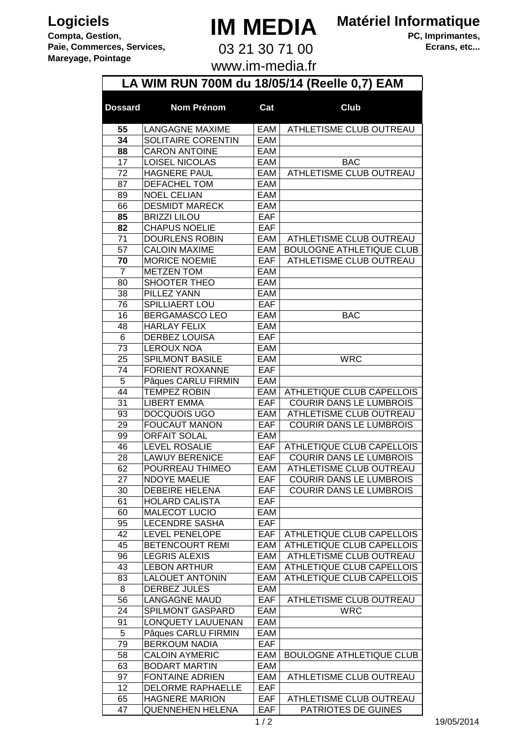## **Logiciels Compta, Gestion,**

**Mareyage, Pointage** 

**Paie, Commerces, Services,**

## **IM MEDIA**

**Matériel Informatique**

03 21 30 71 00

**PC, Imprimantes, Ecrans, etc...**

www.im-media.fr

|                |                                            |            | LA WIM RUN 700M du 18/05/14 (Reelle 0,7) EAM |
|----------------|--------------------------------------------|------------|----------------------------------------------|
| <b>Dossard</b> | <b>Nom Prénom</b>                          | Cat        | <b>Club</b>                                  |
| 55             | <b>LANGAGNE MAXIME</b>                     | EAM        | ATHLETISME CLUB OUTREAU                      |
| 34             | SOLITAIRE CORENTIN                         | EAM        |                                              |
| 88             | <b>CARON ANTOINE</b>                       | EAM        |                                              |
| 17             | <b>LOISEL NICOLAS</b>                      | EAM        | <b>BAC</b>                                   |
| 72             | <b>HAGNERE PAUL</b>                        | EAM        | ATHLETISME CLUB OUTREAU                      |
| 87             | DEFACHEL TOM                               | EAM        |                                              |
| 89             | <b>NOEL CELIAN</b>                         | EAM        |                                              |
| 66             | <b>DESMIDT MARECK</b>                      | EAM        |                                              |
| 85             | <b>BRIZZI LILOU</b>                        | EAF        |                                              |
| 82             | <b>CHAPUS NOELIE</b>                       | <b>EAF</b> |                                              |
| 71             | <b>DOURLENS ROBIN</b>                      | EAM        | ATHLETISME CLUB OUTREAU                      |
| 57             | <b>CALOIN MAXIME</b>                       | EAM        | <b>BOULOGNE ATHLETIQUE CLUB</b>              |
| 70             | <b>MORICE NOEMIE</b>                       | EAF        | ATHLETISME CLUB OUTREAU                      |
| $\overline{7}$ | <b>METZEN TOM</b>                          | EAM        |                                              |
| 80             | <b>SHOOTER THEO</b>                        | EAM        |                                              |
| 38             | PILLEZ YANN                                | EAM        |                                              |
| 76             | <b>SPILLIAERT LOU</b>                      | EAF        |                                              |
| 16             | <b>BERGAMASCO LEO</b>                      | EAM        | <b>BAC</b>                                   |
| 48             | <b>HARLAY FELIX</b>                        | EAM        |                                              |
| 6              | <b>DERBEZ LOUISA</b>                       | EAF        |                                              |
| 73             | <b>LEROUX NOA</b>                          | EAM        |                                              |
| 25             | <b>SPILMONT BASILE</b>                     | EAM        | <b>WRC</b>                                   |
| 74<br>5        | <b>FORIENT ROXANNE</b>                     | <b>EAF</b> |                                              |
| 44             | Pâques CARLU FIRMIN<br><b>TEMPEZ ROBIN</b> | EAM<br>EAM | ATHLETIQUE CLUB CAPELLOIS                    |
| 31             | <b>LIBERT EMMA</b>                         | <b>EAF</b> | <b>COURIR DANS LE LUMBROIS</b>               |
| 93             | DOCQUOIS UGO                               | EAM        | ATHLETISME CLUB OUTREAU                      |
| 29             | <b>FOUCAUT MANON</b>                       | <b>EAF</b> | <b>COURIR DANS LE LUMBROIS</b>               |
| 99             | <b>ORFAIT SOLAL</b>                        | EAM        |                                              |
| 46             | <b>LEVEL ROSALIE</b>                       | <b>EAF</b> | ATHLETIQUE CLUB CAPELLOIS                    |
| 28             | <b>LAWUY BERENICE</b>                      | EAF        | COURIR DANS LE LUMBROIS                      |
| 62             | POURREAU THIMEO                            | EAM        | ATHLETISME CLUB OUTREAU                      |
| 27             | <b>NDOYE MAELIE</b>                        | EAF        | COURIR DANS LE LUMBROIS                      |
| 30             | <b>DEBEIRE HELENA</b>                      | EAF        | <b>COURIR DANS LE LUMBROIS</b>               |
| 61             | <b>HOLARD CALISTA</b>                      | EAF        |                                              |
| 60             | <b>MALECOT LUCIO</b>                       | EAM        |                                              |
| 95             | <b>LECENDRE SASHA</b>                      | EAF        |                                              |
| 42             | <b>LEVEL PENELOPE</b>                      | EAF        | ATHLETIQUE CLUB CAPELLOIS                    |
| 45             | BETENCOURT REMI                            | EAM        | ATHLETIQUE CLUB CAPELLOIS                    |
| 96             | <b>LEGRIS ALEXIS</b>                       | EAM        | ATHLETISME CLUB OUTREAU                      |
| 43             | <b>LEBON ARTHUR</b>                        | EAM        | ATHLETIQUE CLUB CAPELLOIS                    |
| 83             | <b>LALOUET ANTONIN</b>                     | EAM        | ATHLETIQUE CLUB CAPELLOIS                    |
| 8              | <b>DERBEZ JULES</b>                        | EAM        |                                              |
| 56             | <b>LANGAGNE MAUD</b>                       | EAF        | ATHLETISME CLUB OUTREAU                      |
| 24             | SPILMONT GASPARD                           | EAM        | <b>WRC</b>                                   |
| 91             | <b>LONQUETY LAUUENAN</b>                   | EAM        |                                              |
| 5              | Pâques CARLU FIRMIN                        | EAM        |                                              |
| 79             | <b>BERKOUM NADIA</b>                       | EAF        |                                              |
| 58             | <b>CALOIN AYMERIC</b>                      | EAM        | <b>BOULOGNE ATHLETIQUE CLUB</b>              |
| 63             | <b>BODART MARTIN</b>                       | EAM        |                                              |
| 97             | <b>FONTAINE ADRIEN</b>                     | EAM        | ATHLETISME CLUB OUTREAU                      |
| 12             | <b>DELORME RAPHAELLE</b>                   | EAF        |                                              |
| 65             | <b>HAGNERE MARION</b>                      | EAF        | ATHLETISME CLUB OUTREAU                      |
| 47             | <b>QUENNEHEN HELENA</b>                    | EAF        | PATRIOTES DE GUINES                          |